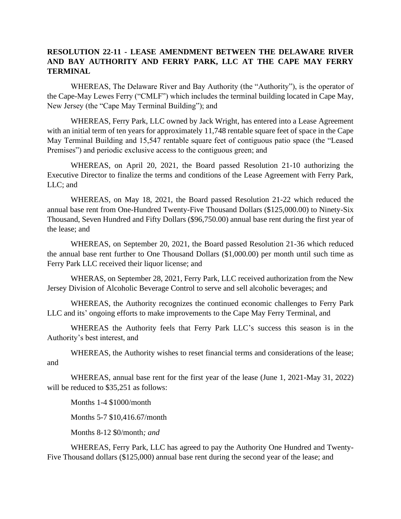## **RESOLUTION 22-11 - LEASE AMENDMENT BETWEEN THE DELAWARE RIVER AND BAY AUTHORITY AND FERRY PARK, LLC AT THE CAPE MAY FERRY TERMINAL**

WHEREAS, The Delaware River and Bay Authority (the "Authority"), is the operator of the Cape-May Lewes Ferry ("CMLF") which includes the terminal building located in Cape May, New Jersey (the "Cape May Terminal Building"); and

WHEREAS, Ferry Park, LLC owned by Jack Wright, has entered into a Lease Agreement with an initial term of ten years for approximately 11,748 rentable square feet of space in the Cape May Terminal Building and 15,547 rentable square feet of contiguous patio space (the "Leased Premises") and periodic exclusive access to the contiguous green; and

WHEREAS, on April 20, 2021, the Board passed Resolution 21-10 authorizing the Executive Director to finalize the terms and conditions of the Lease Agreement with Ferry Park, LLC; and

WHEREAS, on May 18, 2021, the Board passed Resolution 21-22 which reduced the annual base rent from One-Hundred Twenty-Five Thousand Dollars (\$125,000.00) to Ninety-Six Thousand, Seven Hundred and Fifty Dollars (\$96,750.00) annual base rent during the first year of the lease; and

WHEREAS, on September 20, 2021, the Board passed Resolution 21-36 which reduced the annual base rent further to One Thousand Dollars (\$1,000.00) per month until such time as Ferry Park LLC received their liquor license; and

WHERAS, on September 28, 2021, Ferry Park, LLC received authorization from the New Jersey Division of Alcoholic Beverage Control to serve and sell alcoholic beverages; and

WHEREAS, the Authority recognizes the continued economic challenges to Ferry Park LLC and its' ongoing efforts to make improvements to the Cape May Ferry Terminal, and

WHEREAS the Authority feels that Ferry Park LLC's success this season is in the Authority's best interest, and

WHEREAS, the Authority wishes to reset financial terms and considerations of the lease; and

WHEREAS, annual base rent for the first year of the lease (June 1, 2021-May 31, 2022) will be reduced to \$35,251 as follows:

Months 1-4 \$1000/month

Months 5-7 \$10,416.67/month

Months 8-12 \$0/month*; and*

WHEREAS, Ferry Park, LLC has agreed to pay the Authority One Hundred and Twenty-Five Thousand dollars (\$125,000) annual base rent during the second year of the lease; and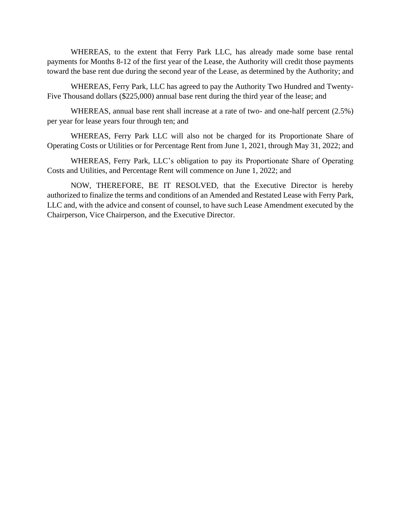WHEREAS, to the extent that Ferry Park LLC, has already made some base rental payments for Months 8-12 of the first year of the Lease, the Authority will credit those payments toward the base rent due during the second year of the Lease, as determined by the Authority; and

WHEREAS, Ferry Park, LLC has agreed to pay the Authority Two Hundred and Twenty-Five Thousand dollars (\$225,000) annual base rent during the third year of the lease; and

WHEREAS, annual base rent shall increase at a rate of two- and one-half percent (2.5%) per year for lease years four through ten; and

WHEREAS, Ferry Park LLC will also not be charged for its Proportionate Share of Operating Costs or Utilities or for Percentage Rent from June 1, 2021, through May 31, 2022; and

WHEREAS, Ferry Park, LLC's obligation to pay its Proportionate Share of Operating Costs and Utilities, and Percentage Rent will commence on June 1, 2022; and

NOW, THEREFORE, BE IT RESOLVED, that the Executive Director is hereby authorized to finalize the terms and conditions of an Amended and Restated Lease with Ferry Park, LLC and, with the advice and consent of counsel, to have such Lease Amendment executed by the Chairperson, Vice Chairperson, and the Executive Director.